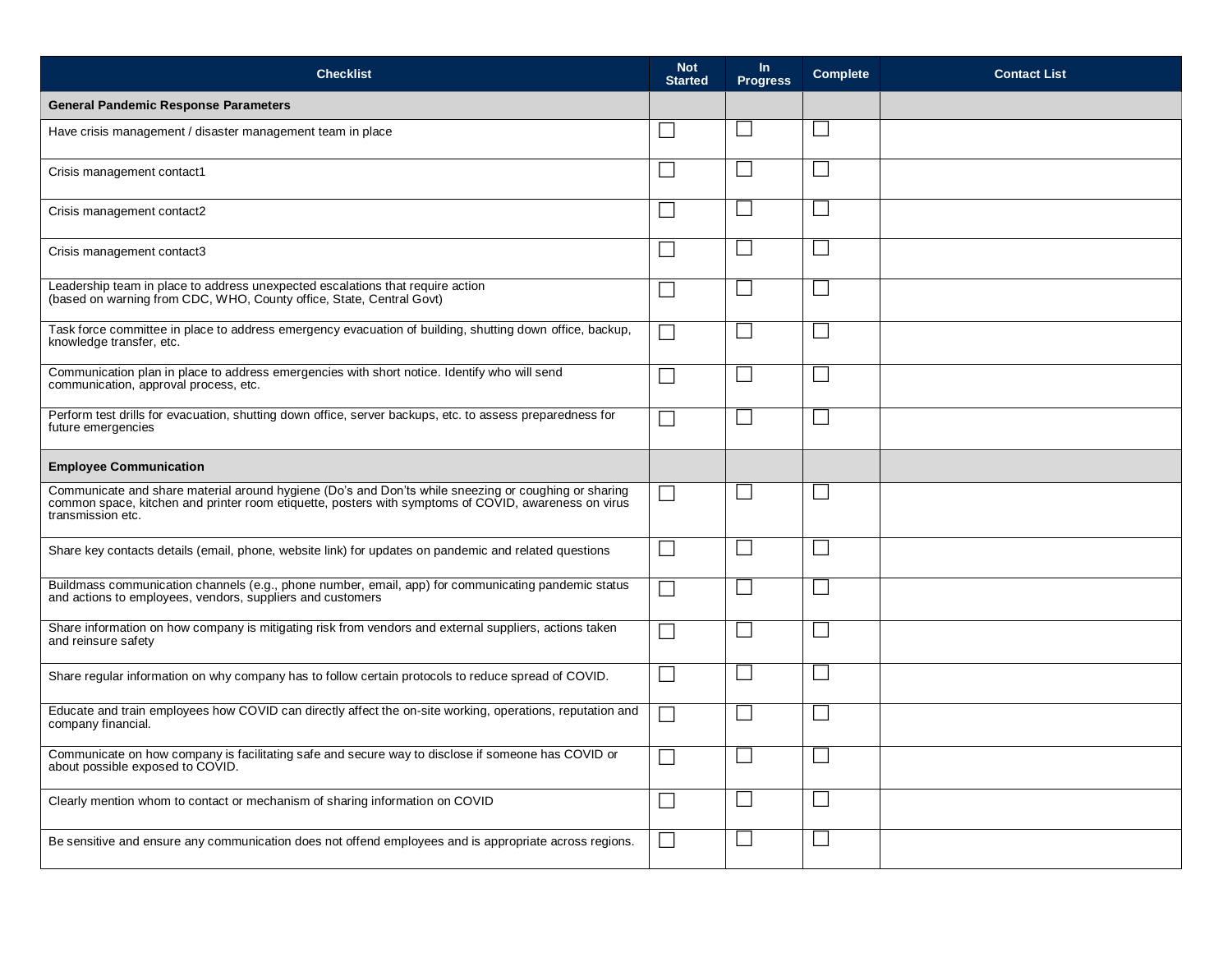| <b>Checklist</b>                                                                                                                                                                                                                  | <b>Not</b><br><b>Started</b> | $\ln$<br><b>Progress</b> | <b>Complete</b> | <b>Contact List</b> |
|-----------------------------------------------------------------------------------------------------------------------------------------------------------------------------------------------------------------------------------|------------------------------|--------------------------|-----------------|---------------------|
| <b>General Pandemic Response Parameters</b>                                                                                                                                                                                       |                              |                          |                 |                     |
| Have crisis management / disaster management team in place                                                                                                                                                                        |                              |                          | $\mathbf{L}$    |                     |
| Crisis management contact1                                                                                                                                                                                                        |                              |                          |                 |                     |
| Crisis management contact2                                                                                                                                                                                                        | $\blacksquare$               |                          |                 |                     |
| Crisis management contact3                                                                                                                                                                                                        |                              |                          |                 |                     |
| Leadership team in place to address unexpected escalations that require action<br>(based on warning from CDC, WHO, County office, State, Central Govt)                                                                            |                              |                          |                 |                     |
| Task force committee in place to address emergency evacuation of building, shutting down office, backup,<br>knowledge transfer, etc.                                                                                              |                              |                          |                 |                     |
| Communication plan in place to address emergencies with short notice. Identify who will send<br>communication, approval process, etc.                                                                                             |                              |                          |                 |                     |
| Perform test drills for evacuation, shutting down office, server backups, etc. to assess preparedness for<br>future emergencies                                                                                                   |                              |                          |                 |                     |
| <b>Employee Communication</b>                                                                                                                                                                                                     |                              |                          |                 |                     |
| Communicate and share material around hygiene (Do's and Don'ts while sneezing or coughing or sharing<br>common space, kitchen and printer room etiquette, posters with symptoms of COVID, awareness on virus<br>transmission etc. |                              |                          |                 |                     |
| Share key contacts details (email, phone, website link) for updates on pandemic and related questions                                                                                                                             | $\overline{\phantom{0}}$     |                          |                 |                     |
| Buildmass communication channels (e.g., phone number, email, app) for communicating pandemic status<br>and actions to employees, vendors, suppliers and customers                                                                 |                              |                          | $\Box$          |                     |
| Share information on how company is mitigating risk from vendors and external suppliers, actions taken<br>and reinsure safety                                                                                                     | $\blacksquare$               |                          |                 |                     |
| Share regular information on why company has to follow certain protocols to reduce spread of COVID.                                                                                                                               | $\overline{\phantom{0}}$     |                          |                 |                     |
| Educate and train employees how COVID can directly affect the on-site working, operations, reputation and<br>company financial.                                                                                                   | ┑                            |                          |                 |                     |
| Communicate on how company is facilitating safe and secure way to disclose if someone has COVID or<br>about possible exposed to COVID.                                                                                            | $\Box$                       |                          |                 |                     |
| Clearly mention whom to contact or mechanism of sharing information on COVID                                                                                                                                                      |                              |                          |                 |                     |
| Be sensitive and ensure any communication does not offend employees and is appropriate across regions.                                                                                                                            |                              |                          |                 |                     |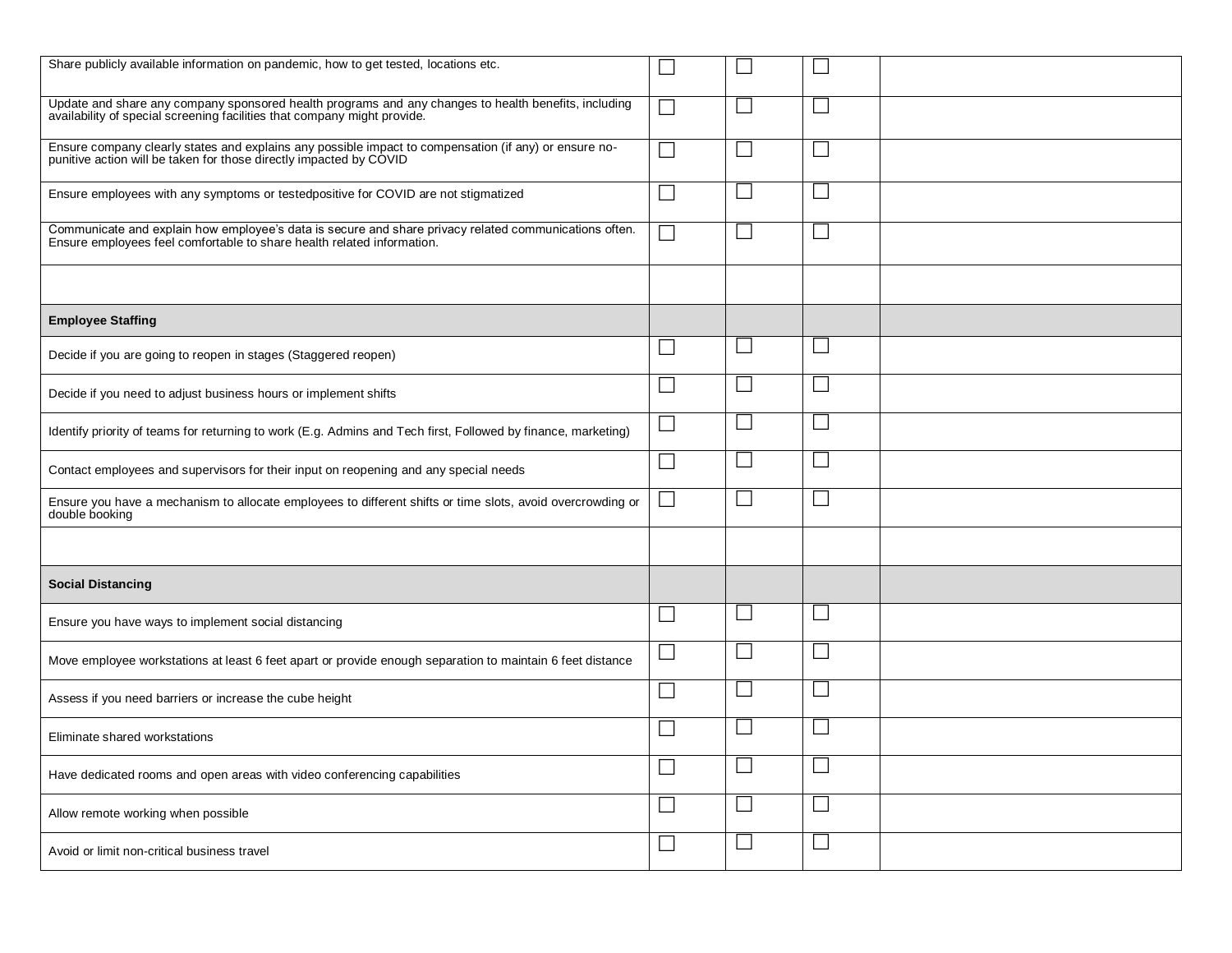| Share publicly available information on pandemic, how to get tested, locations etc.                                                                                             |                             |                          |                             |  |
|---------------------------------------------------------------------------------------------------------------------------------------------------------------------------------|-----------------------------|--------------------------|-----------------------------|--|
| Update and share any company sponsored health programs and any changes to health benefits, including availability of special screening facilities that company might provide.   | Π                           |                          | L.                          |  |
| Ensure company clearly states and explains any possible impact to compensation (if any) or ensure no-<br>punitive action will be taken for those directly impacted by COVID     |                             |                          |                             |  |
| Ensure employees with any symptoms or testedpositive for COVID are not stigmatized                                                                                              |                             |                          | <b>College</b>              |  |
| Communicate and explain how employee's data is secure and share privacy related communications often.<br>Ensure employees feel comfortable to share health related information. |                             |                          |                             |  |
|                                                                                                                                                                                 |                             |                          |                             |  |
| <b>Employee Staffing</b>                                                                                                                                                        |                             |                          |                             |  |
| Decide if you are going to reopen in stages (Staggered reopen)                                                                                                                  | ×                           |                          |                             |  |
| Decide if you need to adjust business hours or implement shifts                                                                                                                 | ×                           |                          |                             |  |
| Identify priority of teams for returning to work (E.g. Admins and Tech first, Followed by finance, marketing)                                                                   | $\overline{\phantom{a}}$    |                          | $\mathcal{L}_{\mathcal{A}}$ |  |
| Contact employees and supervisors for their input on reopening and any special needs                                                                                            |                             |                          | L.                          |  |
| Ensure you have a mechanism to allocate employees to different shifts or time slots, avoid overcrowding or<br>double booking                                                    | $\overline{\phantom{0}}$    | ×.                       | e de                        |  |
|                                                                                                                                                                                 |                             |                          |                             |  |
| <b>Social Distancing</b>                                                                                                                                                        |                             |                          |                             |  |
| Ensure you have ways to implement social distancing                                                                                                                             | $\sim$                      |                          | <b>Contract</b>             |  |
| Move employee workstations at least 6 feet apart or provide enough separation to maintain 6 feet distance                                                                       |                             |                          | L.                          |  |
| Assess if you need barriers or increase the cube height                                                                                                                         |                             |                          | L.                          |  |
| Eliminate shared workstations                                                                                                                                                   |                             |                          |                             |  |
| Have dedicated rooms and open areas with video conferencing capabilities                                                                                                        |                             |                          | П                           |  |
| Allow remote working when possible                                                                                                                                              | $\mathcal{L}_{\mathcal{A}}$ | $\overline{\phantom{0}}$ | $\sqcup$                    |  |
| Avoid or limit non-critical business travel                                                                                                                                     | $\mathcal{L}_{\mathcal{A}}$ | $\Box$                   | $\overline{\phantom{a}}$    |  |